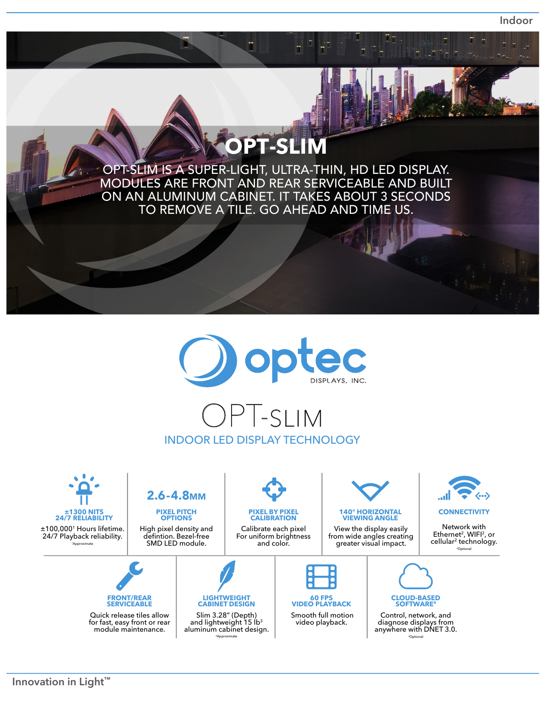**Indoor**

## **OPT-SLIM**

OPT-SLIM IS A SUPER-LIGHT, ULTRA-THIN, HD LED DISPLAY. MODULES ARE FRONT AND REAR SERVICEABLE AND BUILT ON AN ALUMINUM CABINET. IT TAKES ABOUT 3 SECONDS TO REMOVE A TILE. GO AHEAD AND TIME US.





**Innovation in Light™**